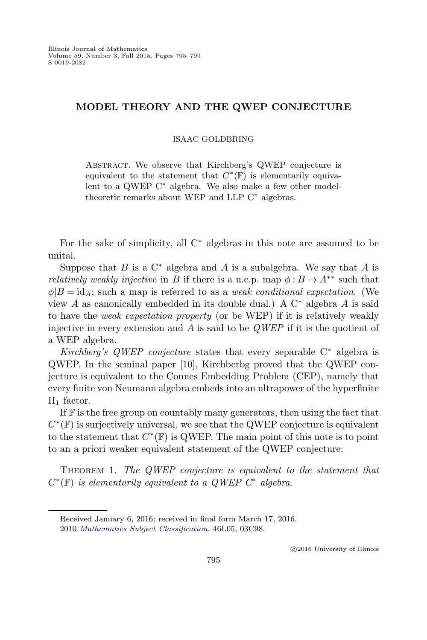## <span id="page-0-0"></span>MODEL THEORY AND THE QWEP CONJECTURE

ISAAC GOLDBRING

Abstract. We observe that Kirchberg's QWEP conjecture is equivalent to the statement that  $C^*(\mathbb{F})$  is elementarily equivalent to a QWEP C<sup>∗</sup> algebra. We also make a few other modeltheoretic remarks about WEP and LLP C<sup>∗</sup> algebras.

For the sake of simplicity, all  $C^*$  algebras in this note are assumed to be unital.

Suppose that  $B$  is a  $C^*$  algebra and  $A$  is a subalgebra. We say that  $A$  is *relatively weakly injective* in B if there is a u.c.p. map  $\phi : B \to A^{**}$  such that  $\phi|B = id_A$ ; such a map is referred to as a *weak conditional expectation*. (We view A as canonically embedded in its double dual.) A  $C^*$  algebra A is said to have the weak expectation property (or be WEP) if it is relatively weakly injective in every extension and  $\ddot{A}$  is said to be  $QWEP$  if it is the quotient of a WEP algebra.

Kirchberg's QWEP conjecture states that every separable  $C^*$  algebra is QWEP. In the seminal paper [\[10\]](#page-3-0), Kirchberbg proved that the QWEP conjecture is equivalent to the Connes Embedding Problem (CEP), namely that every finite von Neumann algebra embeds into an ultrapower of the hyperfinite  $II_1$  factor.

If  $\mathbb F$  is the free group on countably many generators, then using the fact that  $C^*(\mathbb{F})$  is surjectively universal, we see that the QWEP conjecture is equivalent to the statement that  $C^*(\mathbb{F})$  is QWEP. The main point of this note is to point to an a priori weaker equivalent statement of the QWEP conjecture:

THEOREM 1. The QWEP conjecture is equivalent to the statement that  $C^*(\mathbb{F})$  is elementarily equivalent to a QWEP  $C^*$  algebra.

⃝c 2016 University of Illinois

Received January 6, 2016; received in final form March 17, 2016. 2010 [Mathematics Subject Classification.](http://www.ams.org/msc/) 46L05, 03C98.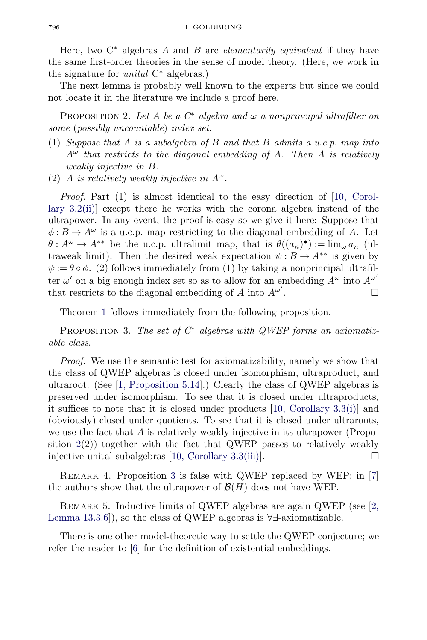<span id="page-1-0"></span>Here, two  $C^*$  algebras A and B are *elementarily equivalent* if they have the same first-order theories in the sense of model theory. (Here, we work in the signature for *unital*  $C^*$  algebras.)

The next lemma is probably well known to the experts but since we could not locate it in the literature we include a proof here.

PROPOSITION 2. Let A be a  $C^*$  algebra and  $\omega$  a nonprincipal ultrafilter on some (possibly uncountable) index set.

- (1) Suppose that A is a subalgebra of B and that B admits a u.c.p. map into  $A^{\omega}$  that restricts to the diagonal embedding of A. Then A is relatively weakly injective in B.
- (2) A is relatively weakly injective in  $A^{\omega}$ .

Proof. Part (1) is almost identical to the easy direction of [\[10, Corol](#page-3-0)[lary 3.2\(ii\)\]](#page-3-0) except there he works with the corona algebra instead of the ultrapower. In any event, the proof is easy so we give it here: Suppose that  $\phi: B \to A^{\omega}$  is a u.c.p. map restricting to the diagonal embedding of A. Let  $\theta: A^{\omega} \to A^{**}$  be the u.c.p. ultralimit map, that is  $\theta((a_n)^{\bullet}) := \lim_{\omega} a_n$  (ultraweak limit). Then the desired weak expectation  $\psi : B \to A^{**}$  is given by  $\psi := \theta \circ \phi$ . (2) follows immediately from (1) by taking a nonprincipal ultrafilter  $\omega'$  on a big enough index set so as to allow for an embedding  $A^{\omega}$  into  $A^{\omega'}$ that restricts to the diagonal embedding of A into  $A^{\omega'}$ . .  $\qquad \qquad \Box$ 

Theorem [1](#page-0-0) follows immediately from the following proposition.

PROPOSITION 3. The set of  $C^*$  algebras with QWEP forms an axiomatizable class.

Proof. We use the semantic test for axiomatizability, namely we show that the class of QWEP algebras is closed under isomorphism, ultraproduct, and ultraroot. (See [\[1, Proposition 5.14\]](#page-3-0).) Clearly the class of QWEP algebras is preserved under isomorphism. To see that it is closed under ultraproducts, it suffices to note that it is closed under products  $[10,$  Corollary 3.3(i)] and (obviously) closed under quotients. To see that it is closed under ultraroots, we use the fact that  $A$  is relatively weakly injective in its ultrapower (Proposition  $2(2)$ ) together with the fact that QWEP passes to relatively weakly injective unital subalgebras [\[10, Corollary 3.3\(iii\)\]](#page-3-0).  $\Box$ 

REMARK 4. Proposition 3 is false with QWEP replaced by WEP: in [\[7\]](#page-3-0) the authors show that the ultrapower of  $\mathcal{B}(H)$  does not have WEP.

REMARK 5. Inductive limits of QWEP algebras are again QWEP (see [\[2,](#page-3-0) [Lemma 13.3.6\]](#page-3-0)), so the class of QWEP algebras is ∀∃-axiomatizable.

There is one other model-theoretic way to settle the QWEP conjecture; we refer the reader to [\[6\]](#page-3-0) for the definition of existential embeddings.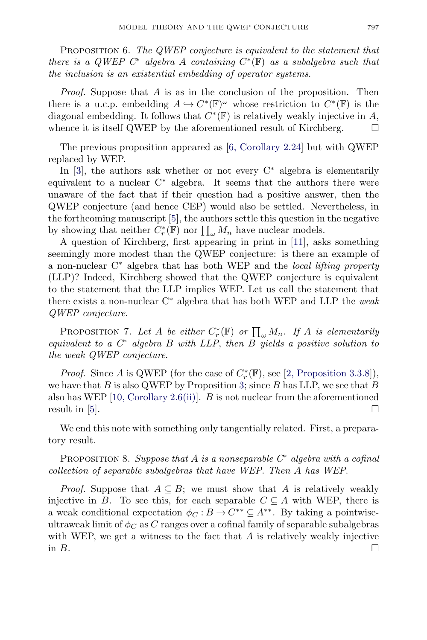<span id="page-2-0"></span>PROPOSITION 6. The QWEP conjecture is equivalent to the statement that there is a QWEP  $C^*$  algebra A containing  $C^*(\mathbb{F})$  as a subalgebra such that the inclusion is an existential embedding of operator systems.

*Proof.* Suppose that  $\overline{A}$  is as in the conclusion of the proposition. Then there is a u.c.p. embedding  $A \hookrightarrow C^*(\mathbb{F})^\omega$  whose restriction to  $C^*(\mathbb{F})$  is the diagonal embedding. It follows that  $C^*(\mathbb{F})$  is relatively weakly injective in A, whence it is itself QWEP by the aforementioned result of Kirchberg.  $\Box$ 

The previous proposition appeared as [\[6, Corollary 2.24\]](#page-3-0) but with QWEP replaced by WEP.

In [\[3\]](#page-3-0), the authors ask whether or not every  $C^*$  algebra is elementarily equivalent to a nuclear  $C^*$  algebra. It seems that the authors there were unaware of the fact that if their question had a positive answer, then the QWEP conjecture (and hence CEP) would also be settled. Nevertheless, in the forthcoming manuscript [\[5\]](#page-3-0), the authors settle this question in the negative by showing that neither  $C_r^*(\mathbb{F})$  nor  $\prod_{\omega} M_n$  have nuclear models.

A question of Kirchberg, first appearing in print in [\[11\]](#page-4-0), asks something seemingly more modest than the QWEP conjecture: is there an example of a non-nuclear  $C^*$  algebra that has both WEP and the *local lifting property* (LLP)? Indeed, Kirchberg showed that the QWEP conjecture is equivalent to the statement that the LLP implies WEP. Let us call the statement that there exists a non-nuclear  $C^*$  algebra that has both WEP and LLP the weak QWEP conjecture.

PROPOSITION 7. Let A be either  $C_r^*(\mathbb{F})$  or  $\prod_{\omega} M_n$ . If A is elementarily equivalent to a  $C^*$  algebra B with LLP, then B yields a positive solution to the weak QWEP conjecture.

*Proof.* Since A is QWEP (for the case of  $C_r^*(\mathbb{F})$ , see [\[2, Proposition 3.3.8\]](#page-3-0)), we have that B is also QWEP by Proposition [3;](#page-1-0) since B has LLP, we see that B also has WEP  $[10,$  Corollary 2.6(ii). B is not nuclear from the aforementioned result in  $|5|$ .

We end this note with something only tangentially related. First, a preparatory result.

PROPOSITION 8. Suppose that A is a nonseparable  $C^*$  algebra with a cofinal collection of separable subalgebras that have WEP. Then A has WEP.

*Proof.* Suppose that  $A \subseteq B$ ; we must show that A is relatively weakly injective in B. To see this, for each separable  $C \subseteq A$  with WEP, there is a weak conditional expectation  $\phi_C : B \to C^{**} \subseteq A^{**}$ . By taking a pointwiseultraweak limit of  $\phi_C$  as C ranges over a cofinal family of separable subalgebras with WEP, we get a witness to the fact that  $A$  is relatively weakly injective in  $B$ .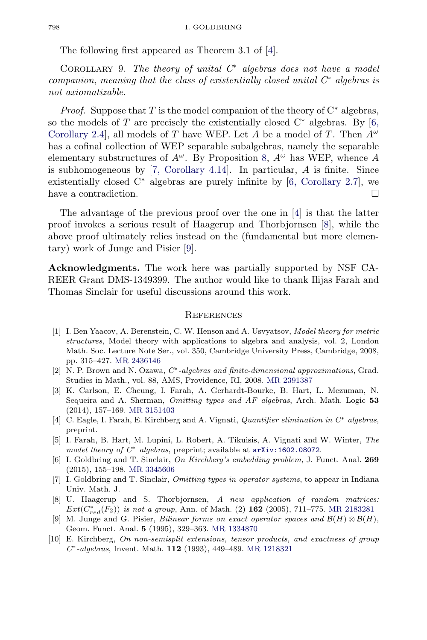<span id="page-3-0"></span>The following first appeared as Theorem 3.1 of [4].

COROLLARY 9. The theory of unital  $C^*$  algebras does not have a model companion, meaning that the class of existentially closed unital  $C^*$  algebras is not axiomatizable.

*Proof.* Suppose that T is the model companion of the theory of  $C^*$  algebras, so the models of T are precisely the existentially closed  $C^*$  algebras. By [6, Corollary 2.4, all models of T have WEP. Let A be a model of T. Then  $A^{\omega}$ has a cofinal collection of WEP separable subalgebras, namely the separable elementary substructures of  $A^{\omega}$ . By Proposition [8,](#page-2-0)  $A^{\omega}$  has WEP, whence A is subhomogeneous by [7, Corollary 4.14]. In particular, A is finite. Since existentially closed  $C^*$  algebras are purely infinite by [6, Corollary 2.7], we have a contradiction.  $\Box$ 

The advantage of the previous proof over the one in [4] is that the latter proof invokes a serious result of Haagerup and Thorbjornsen [8], while the above proof ultimately relies instead on the (fundamental but more elementary) work of Junge and Pisier [9].

Acknowledgments. The work here was partially supported by NSF CA-REER Grant DMS-1349399. The author would like to thank Ilijas Farah and Thomas Sinclair for useful discussions around this work.

## **REFERENCES**

- [1] I. Ben Yaacov, A. Berenstein, C. W. Henson and A. Usvyatsov, Model theory for metric structures, Model theory with applications to algebra and analysis, vol. 2, London Math. Soc. Lecture Note Ser., vol. 350, Cambridge University Press, Cambridge, 2008, pp. 315–427. [MR 2436146](http://www.ams.org/mathscinet-getitem?mr=2436146)
- [2] N. P. Brown and N. Ozawa, C∗-algebras and finite-dimensional approximations, Grad. Studies in Math., vol. 88, AMS, Providence, RI, 2008. [MR 2391387](http://www.ams.org/mathscinet-getitem?mr=2391387)
- [3] K. Carlson, E. Cheung, I. Farah, A. Gerhardt-Bourke, B. Hart, L. Mezuman, N. Sequeira and A. Sherman, Omitting types and AF algebras, Arch. Math. Logic 53 (2014), 157–169. [MR 3151403](http://www.ams.org/mathscinet-getitem?mr=3151403)
- [4] C. Eagle, I. Farah, E. Kirchberg and A. Vignati, Quantifier elimination in C∗ algebras, preprint.
- [5] I. Farah, B. Hart, M. Lupini, L. Robert, A. Tikuisis, A. Vignati and W. Winter, The model theory of  $C^*$  algebras, preprint; available at  $arXiv:1602.08072$ .
- [6] I. Goldbring and T. Sinclair, On Kirchberg's embedding problem, J. Funct. Anal. 269 (2015), 155–198. [MR 3345606](http://www.ams.org/mathscinet-getitem?mr=3345606)
- [7] I. Goldbring and T. Sinclair, Omitting types in operator systems, to appear in Indiana Univ. Math. J.
- [8] U. Haagerup and S. Thorbjornsen, A new application of random matrices:  $Ext(C_{red}^*(F_2))$  is not a group, Ann. of Math. (2) 162 (2005), 711–775. [MR 2183281](http://www.ams.org/mathscinet-getitem?mr=2183281)
- [9] M. Junge and G. Pisier, Bilinear forms on exact operator spaces and  $\mathcal{B}(H) \otimes \mathcal{B}(H)$ , Geom. Funct. Anal. 5 (1995), 329–363. [MR 1334870](http://www.ams.org/mathscinet-getitem?mr=1334870)
- [10] E. Kirchberg, On non-semisplit extensions, tensor products, and exactness of group C∗-algebras, Invent. Math. 112 (1993), 449–489. [MR 1218321](http://www.ams.org/mathscinet-getitem?mr=1218321)